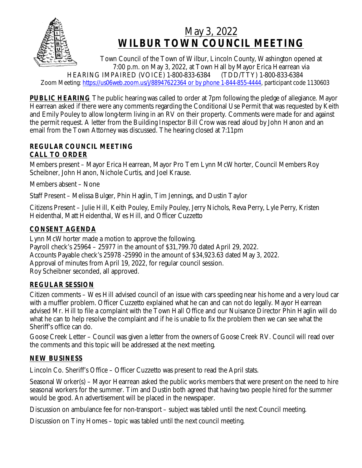

# May 3, 2022 **WILBUR TOWN COUNCIL MEETING**

Town Council of the Town of Wilbur, Lincoln County, Washington opened at 7:00 p.m. on May 3, 2022, at Town Hall by Mayor Erica Hearrean via<br>PAIRED (VOICE) 1-800-833-6384 (TDD/TTY) 1-800-833-6384 HEARING IMPAIRED (VOICÉ) 1-800-833-6384 Zoom Meeting: [https://us06web.zoom.us/j/88947622364 or by phone 1-844-855-4444,](https://us06web.zoom.us/j/88947622364 or by phone 1-844-855-4444) participant code 1130603

**PUBLIC HEARING** The public hearing was called to order at 7pm following the pledge of allegiance. Mayor Hearrean asked if there were any comments regarding the Conditional Use Permit that was requested by Keith and Emily Pouley to allow long-term living in an RV on their property. Comments were made for and against the permit request. A letter from the Building Inspector Bill Crow was read aloud by John Hanon and an email from the Town Attorney was discussed. The hearing closed at 7:11pm

## **REGULAR COUNCIL MEETING CALL TO ORDER**

Members present – Mayor Erica Hearrean, Mayor Pro Tem Lynn McWhorter, Council Members Roy Scheibner, John Hanon, Nichole Curtis, and Joel Krause.

Members absent – None

Staff Present – Melissa Bulger, Phin Haglin, Tim Jennings, and Dustin Taylor

Citizens Present – Julie Hill, Keith Pouley, Emily Pouley, Jerry Nichols, Reva Perry, Lyle Perry, Kristen Heidenthal, Matt Heidenthal, Wes Hill, and Officer Cuzzetto

## **CONSENT AGENDA**

Lynn McWhorter made a motion to approve the following. Payroll check's 25964 – 25977 in the amount of \$31,799.70 dated April 29, 2022. Accounts Payable check's 25978 -25990 in the amount of \$34,923.63 dated May 3, 2022. Approval of minutes from April 19, 2022, for regular council session. Roy Scheibner seconded, all approved.

## **REGULAR SESSION**

Citizen comments – Wes Hill advised council of an issue with cars speeding near his home and a very loud car with a muffler problem. Officer Cuzzetto explained what he can and can not do legally. Mayor Hearrean advised Mr. Hill to file a complaint with the Town Hall Office and our Nuisance Director Phin Haglin will do what he can to help resolve the complaint and if he is unable to fix the problem then we can see what the Sheriff's office can do.

Goose Creek Letter – Council was given a letter from the owners of Goose Creek RV. Council will read over the comments and this topic will be addressed at the next meeting.

## **NEW BUSINESS**

Lincoln Co. Sheriff's Office – Officer Cuzzetto was present to read the April stats.

Seasonal Worker(s) – Mayor Hearrean asked the public works members that were present on the need to hire seasonal workers for the summer. Tim and Dustin both agreed that having two people hired for the summer would be good. An advertisement will be placed in the newspaper.

Discussion on ambulance fee for non-transport – subject was tabled until the next Council meeting.

Discussion on Tiny Homes – topic was tabled until the next council meeting.